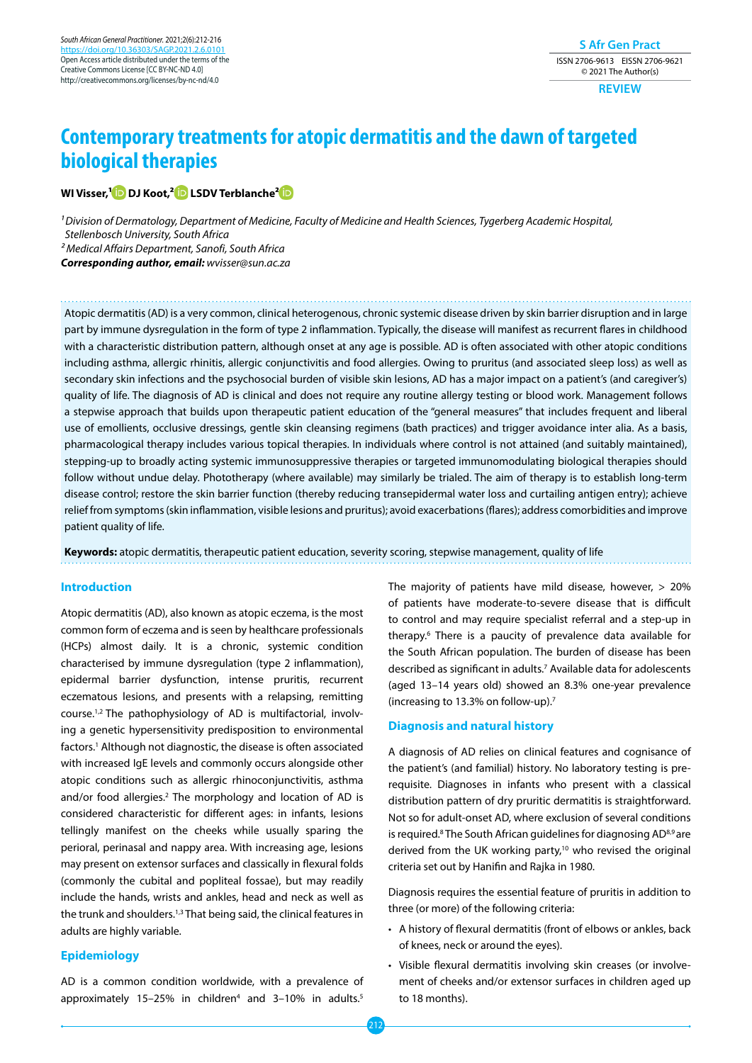**S Afr Gen Pract** ISSN 2706-9613 EISSN 2706-9621 © 2021 The Author(s)

**REVIEW**

# **Contemporary treatments for atopic dermatitis and the dawn of targeted biological therapies**

# **WI Visser,[1 D](https://orcid.org/0000-0002-0913-3091)J Koot,[2 L](https://orcid.org/0000-0002-2330-9946)SDV Terblanche[2](https://orcid.org/0000-0001-9015-1811)**

*1 Division of Dermatology, Department of Medicine, Faculty of Medicine and Health Sciences, Tygerberg Academic Hospital, Stellenbosch University, South Africa 2 Medical Affairs Department, Sanofi, South Africa Corresponding author, email: wvisser@sun.ac.za*

Atopic dermatitis (AD) is a very common, clinical heterogenous, chronic systemic disease driven by skin barrier disruption and in large part by immune dysregulation in the form of type 2 inflammation. Typically, the disease will manifest as recurrent flares in childhood with a characteristic distribution pattern, although onset at any age is possible. AD is often associated with other atopic conditions including asthma, allergic rhinitis, allergic conjunctivitis and food allergies. Owing to pruritus (and associated sleep loss) as well as secondary skin infections and the psychosocial burden of visible skin lesions, AD has a major impact on a patient's (and caregiver's) quality of life. The diagnosis of AD is clinical and does not require any routine allergy testing or blood work. Management follows a stepwise approach that builds upon therapeutic patient education of the "general measures" that includes frequent and liberal use of emollients, occlusive dressings, gentle skin cleansing regimens (bath practices) and trigger avoidance inter alia. As a basis, pharmacological therapy includes various topical therapies. In individuals where control is not attained (and suitably maintained), stepping-up to broadly acting systemic immunosuppressive therapies or targeted immunomodulating biological therapies should follow without undue delay. Phototherapy (where available) may similarly be trialed. The aim of therapy is to establish long-term disease control; restore the skin barrier function (thereby reducing transepidermal water loss and curtailing antigen entry); achieve relief from symptoms (skin inflammation, visible lesions and pruritus); avoid exacerbations (flares); address comorbidities and improve patient quality of life.

**Keywords:** atopic dermatitis, therapeutic patient education, severity scoring, stepwise management, quality of life

#### **Introduction**

Atopic dermatitis (AD), also known as atopic eczema, is the most common form of eczema and is seen by healthcare professionals (HCPs) almost daily. It is a chronic, systemic condition characterised by immune dysregulation (type 2 inflammation), epidermal barrier dysfunction, intense pruritis, recurrent eczematous lesions, and presents with a relapsing, remitting course.1,2 The pathophysiology of AD is multifactorial, involving a genetic hypersensitivity predisposition to environmental factors.1 Although not diagnostic, the disease is often associated with increased IgE levels and commonly occurs alongside other atopic conditions such as allergic rhinoconjunctivitis, asthma and/or food allergies.2 The morphology and location of AD is considered characteristic for different ages: in infants, lesions tellingly manifest on the cheeks while usually sparing the perioral, perinasal and nappy area. With increasing age, lesions may present on extensor surfaces and classically in flexural folds (commonly the cubital and popliteal fossae), but may readily include the hands, wrists and ankles, head and neck as well as the trunk and shoulders.1,3 That being said, the clinical features in adults are highly variable.

## **Epidemiology**

AD is a common condition worldwide, with a prevalence of approximately 15-25% in children<sup>4</sup> and 3-10% in adults.<sup>5</sup>

The majority of patients have mild disease, however, > 20% of patients have moderate-to-severe disease that is difficult to control and may require specialist referral and a step-up in therapy.6 There is a paucity of prevalence data available for the South African population. The burden of disease has been described as significant in adults.7 Available data for adolescents (aged 13–14 years old) showed an 8.3% one-year prevalence (increasing to 13.3% on follow-up).7

#### **Diagnosis and natural history**

A diagnosis of AD relies on clinical features and cognisance of the patient's (and familial) history. No laboratory testing is prerequisite. Diagnoses in infants who present with a classical distribution pattern of dry pruritic dermatitis is straightforward. Not so for adult-onset AD, where exclusion of several conditions is required.<sup>8</sup> The South African guidelines for diagnosing AD<sup>8,9</sup> are derived from the UK working party,<sup>10</sup> who revised the original criteria set out by Hanifin and Rajka in 1980.

Diagnosis requires the essential feature of pruritis in addition to three (or more) of the following criteria:

- A history of flexural dermatitis (front of elbows or ankles, back of knees, neck or around the eyes).
- Visible flexural dermatitis involving skin creases (or involvement of cheeks and/or extensor surfaces in children aged up to 18 months).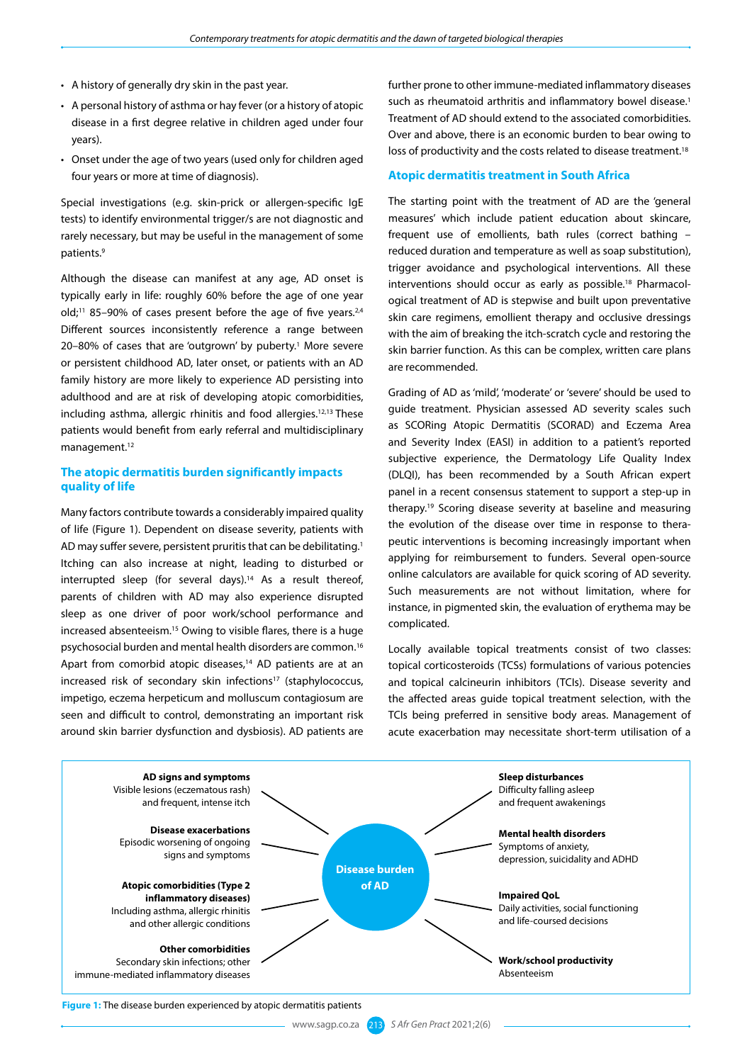- A history of generally dry skin in the past year.
- A personal history of asthma or hay fever (or a history of atopic disease in a first degree relative in children aged under four years).
- Onset under the age of two years (used only for children aged four years or more at time of diagnosis).

Special investigations (e.g. skin-prick or allergen-specific IgE tests) to identify environmental trigger/s are not diagnostic and rarely necessary, but may be useful in the management of some patients.9

Although the disease can manifest at any age, AD onset is typically early in life: roughly 60% before the age of one year old;<sup>11</sup> 85–90% of cases present before the age of five years.<sup>2,4</sup> Different sources inconsistently reference a range between 20–80% of cases that are 'outgrown' by puberty.<sup>1</sup> More severe or persistent childhood AD, later onset, or patients with an AD family history are more likely to experience AD persisting into adulthood and are at risk of developing atopic comorbidities, including asthma, allergic rhinitis and food allergies.12,13 These patients would benefit from early referral and multidisciplinary management.12

# **The atopic dermatitis burden significantly impacts quality of life**

Many factors contribute towards a considerably impaired quality of life (Figure 1). Dependent on disease severity, patients with AD may suffer severe, persistent pruritis that can be debilitating.<sup>1</sup> Itching can also increase at night, leading to disturbed or interrupted sleep (for several days).<sup>14</sup> As a result thereof, parents of children with AD may also experience disrupted sleep as one driver of poor work/school performance and increased absenteeism.15 Owing to visible flares, there is a huge psychosocial burden and mental health disorders are common.16 Apart from comorbid atopic diseases,<sup>14</sup> AD patients are at an increased risk of secondary skin infections<sup>17</sup> (staphylococcus, impetigo, eczema herpeticum and molluscum contagiosum are seen and difficult to control, demonstrating an important risk around skin barrier dysfunction and dysbiosis). AD patients are

further prone to other immune-mediated inflammatory diseases such as rheumatoid arthritis and inflammatory bowel disease.<sup>1</sup> Treatment of AD should extend to the associated comorbidities. Over and above, there is an economic burden to bear owing to loss of productivity and the costs related to disease treatment.<sup>18</sup>

#### **Atopic dermatitis treatment in South Africa**

The starting point with the treatment of AD are the 'general measures' which include patient education about skincare, frequent use of emollients, bath rules (correct bathing – reduced duration and temperature as well as soap substitution), trigger avoidance and psychological interventions. All these interventions should occur as early as possible.<sup>18</sup> Pharmacological treatment of AD is stepwise and built upon preventative skin care regimens, emollient therapy and occlusive dressings with the aim of breaking the itch-scratch cycle and restoring the skin barrier function. As this can be complex, written care plans are recommended.

Grading of AD as 'mild', 'moderate' or 'severe' should be used to guide treatment. Physician assessed AD severity scales such as SCORing Atopic Dermatitis (SCORAD) and Eczema Area and Severity Index (EASI) in addition to a patient's reported subjective experience, the Dermatology Life Quality Index (DLQI), has been recommended by a South African expert panel in a recent consensus statement to support a step-up in therapy.19 Scoring disease severity at baseline and measuring the evolution of the disease over time in response to therapeutic interventions is becoming increasingly important when applying for reimbursement to funders. Several open-source online calculators are available for quick scoring of AD severity. Such measurements are not without limitation, where for instance, in pigmented skin, the evaluation of erythema may be complicated.

Locally available topical treatments consist of two classes: topical corticosteroids (TCSs) formulations of various potencies and topical calcineurin inhibitors (TCIs). Disease severity and the affected areas guide topical treatment selection, with the TCIs being preferred in sensitive body areas. Management of acute exacerbation may necessitate short-term utilisation of a



## **Figure 1:** The disease burden experienced by atopic dermatitis patients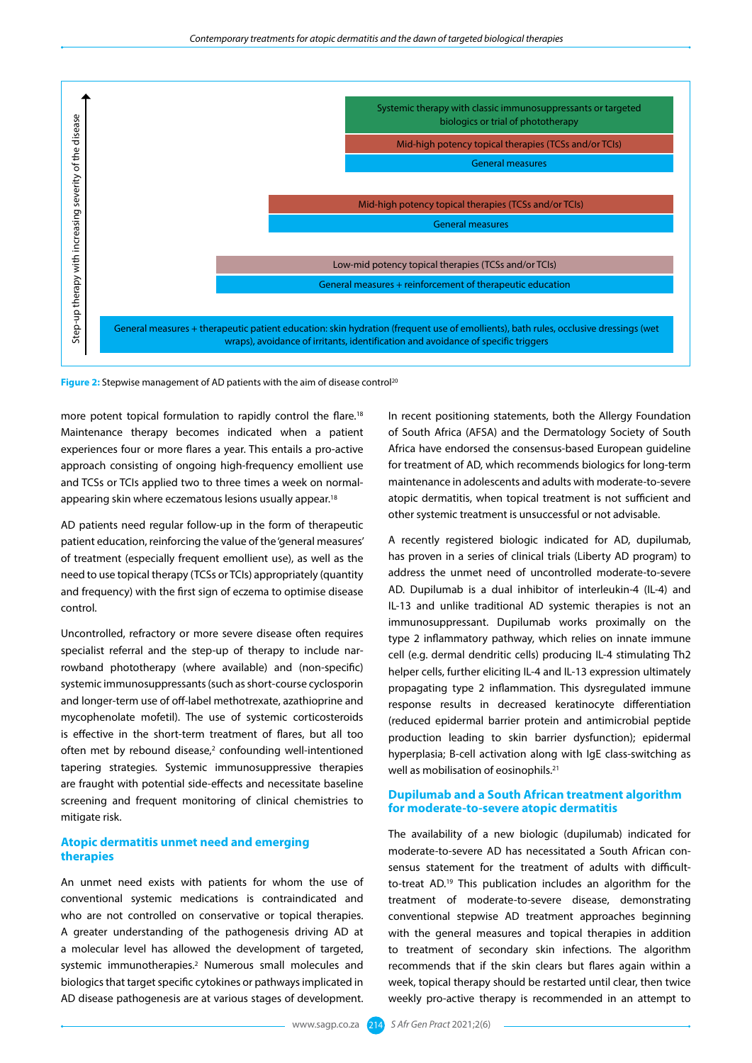

**Figure 2:** Stepwise management of AD patients with the aim of disease control<sup>20</sup>

more potent topical formulation to rapidly control the flare.<sup>18</sup> Maintenance therapy becomes indicated when a patient experiences four or more flares a year. This entails a pro-active approach consisting of ongoing high-frequency emollient use and TCSs or TCIs applied two to three times a week on normalappearing skin where eczematous lesions usually appear.<sup>18</sup>

AD patients need regular follow-up in the form of therapeutic patient education, reinforcing the value of the 'general measures' of treatment (especially frequent emollient use), as well as the need to use topical therapy (TCSs or TCIs) appropriately (quantity and frequency) with the first sign of eczema to optimise disease control.

Uncontrolled, refractory or more severe disease often requires specialist referral and the step-up of therapy to include narrowband phototherapy (where available) and (non-specific) systemic immunosuppressants (such as short-course cyclosporin and longer-term use of off-label methotrexate, azathioprine and mycophenolate mofetil). The use of systemic corticosteroids is effective in the short-term treatment of flares, but all too often met by rebound disease,<sup>2</sup> confounding well-intentioned tapering strategies. Systemic immunosuppressive therapies are fraught with potential side-effects and necessitate baseline screening and frequent monitoring of clinical chemistries to mitigate risk.

# **Atopic dermatitis unmet need and emerging therapies**

An unmet need exists with patients for whom the use of conventional systemic medications is contraindicated and who are not controlled on conservative or topical therapies. A greater understanding of the pathogenesis driving AD at a molecular level has allowed the development of targeted, systemic immunotherapies.2 Numerous small molecules and biologics that target specific cytokines or pathways implicated in AD disease pathogenesis are at various stages of development.

In recent positioning statements, both the Allergy Foundation of South Africa (AFSA) and the Dermatology Society of South Africa have endorsed the consensus-based European guideline for treatment of AD, which recommends biologics for long-term maintenance in adolescents and adults with moderate-to-severe atopic dermatitis, when topical treatment is not sufficient and other systemic treatment is unsuccessful or not advisable.

A recently registered biologic indicated for AD, dupilumab, has proven in a series of clinical trials (Liberty AD program) to address the unmet need of uncontrolled moderate-to-severe AD. Dupilumab is a dual inhibitor of interleukin-4 (IL-4) and IL-13 and unlike traditional AD systemic therapies is not an immunosuppressant. Dupilumab works proximally on the type 2 inflammatory pathway, which relies on innate immune cell (e.g. dermal dendritic cells) producing IL-4 stimulating Th2 helper cells, further eliciting IL-4 and IL-13 expression ultimately propagating type 2 inflammation. This dysregulated immune response results in decreased keratinocyte differentiation (reduced epidermal barrier protein and antimicrobial peptide production leading to skin barrier dysfunction); epidermal hyperplasia; B-cell activation along with IgE class-switching as well as mobilisation of eosinophils.<sup>21</sup>

# **Dupilumab and a South African treatment algorithm for moderate-to-severe atopic dermatitis**

The availability of a new biologic (dupilumab) indicated for moderate-to-severe AD has necessitated a South African consensus statement for the treatment of adults with difficultto-treat AD.19 This publication includes an algorithm for the treatment of moderate-to-severe disease, demonstrating conventional stepwise AD treatment approaches beginning with the general measures and topical therapies in addition to treatment of secondary skin infections. The algorithm recommends that if the skin clears but flares again within a week, topical therapy should be restarted until clear, then twice weekly pro-active therapy is recommended in an attempt to